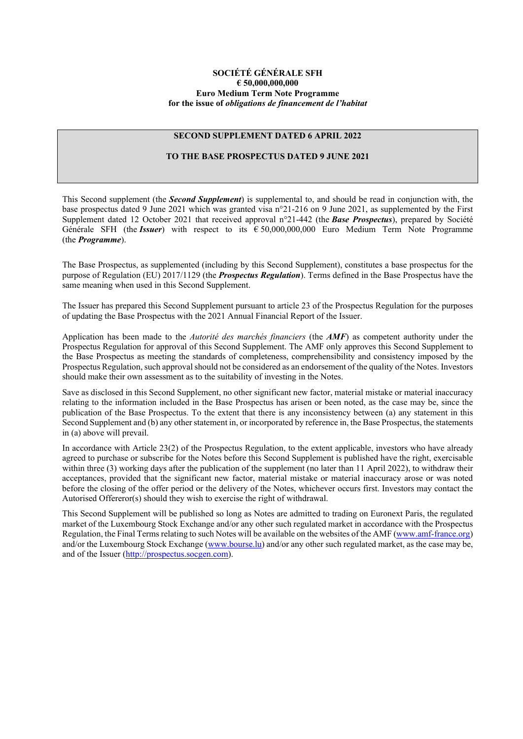#### **SOCIÉTÉ GÉNÉRALE SFH € 50,000,000,000 Euro Medium Term Note Programme for the issue of** *obligations de financement de l'habitat*

#### **SECOND SUPPLEMENT DATED 6 APRIL 2022**

### **TO THE BASE PROSPECTUS DATED 9 JUNE 2021**

This Second supplement (the *Second Supplement*) is supplemental to, and should be read in conjunction with, the base prospectus dated 9 June 2021 which was granted visa n°21-216 on 9 June 2021, as supplemented by the First Supplement dated 12 October 2021 that received approval n°21-442 (the *Base Prospectus*), prepared by Société Générale SFH (the *Issuer*) with respect to its € 50,000,000,000 Euro Medium Term Note Programme (the *Programme*).

The Base Prospectus, as supplemented (including by this Second Supplement), constitutes a base prospectus for the purpose of Regulation (EU) 2017/1129 (the *Prospectus Regulation*). Terms defined in the Base Prospectus have the same meaning when used in this Second Supplement.

The Issuer has prepared this Second Supplement pursuant to article 23 of the Prospectus Regulation for the purposes of updating the Base Prospectus with the 2021 Annual Financial Report of the Issuer.

Application has been made to the *Autorité des marchés financiers* (the *AMF*) as competent authority under the Prospectus Regulation for approval of this Second Supplement. The AMF only approves this Second Supplement to the Base Prospectus as meeting the standards of completeness, comprehensibility and consistency imposed by the Prospectus Regulation, such approval should not be considered as an endorsement of the quality of the Notes. Investors should make their own assessment as to the suitability of investing in the Notes.

Save as disclosed in this Second Supplement, no other significant new factor, material mistake or material inaccuracy relating to the information included in the Base Prospectus has arisen or been noted, as the case may be, since the publication of the Base Prospectus. To the extent that there is any inconsistency between (a) any statement in this Second Supplement and (b) any other statement in, or incorporated by reference in, the Base Prospectus, the statements in (a) above will prevail.

In accordance with Article 23(2) of the Prospectus Regulation, to the extent applicable, investors who have already agreed to purchase or subscribe for the Notes before this Second Supplement is published have the right, exercisable within three (3) working days after the publication of the supplement (no later than 11 April 2022), to withdraw their acceptances, provided that the significant new factor, material mistake or material inaccuracy arose or was noted before the closing of the offer period or the delivery of the Notes, whichever occurs first. Investors may contact the Autorised Offereror(s) should they wish to exercise the right of withdrawal.

This Second Supplement will be published so long as Notes are admitted to trading on Euronext Paris, the regulated market of the Luxembourg Stock Exchange and/or any other such regulated market in accordance with the Prospectus Regulation, the Final Terms relating to such Notes will be available on the websites of the AMF [\(www.amf-france.org\)](http://www.amf-france.org/) and/or the Luxembourg Stock Exchange [\(www.bourse.lu\)](http://www.bourse.lu/) and/or any other such regulated market, as the case may be, and of the Issuer [\(http://prospectus.socgen.com\)](http://prospectus.socgen.com/).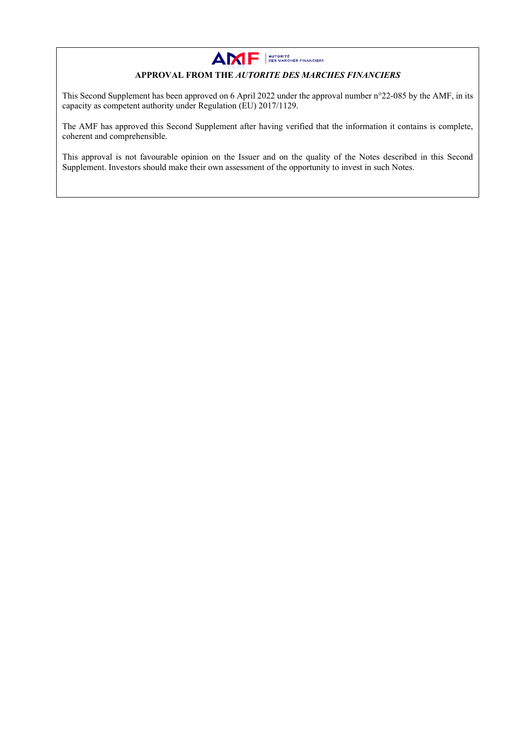

# **APPROVAL FROM THE** *AUTORITE DES MARCHES FINANCIERS*

This Second Supplement has been approved on 6 April 2022 under the approval number n°22-085 by the AMF, in its capacity as competent authority under Regulation (EU) 2017/1129.

The AMF has approved this Second Supplement after having verified that the information it contains is complete, coherent and comprehensible.

This approval is not favourable opinion on the Issuer and on the quality of the Notes described in this Second Supplement. Investors should make their own assessment of the opportunity to invest in such Notes.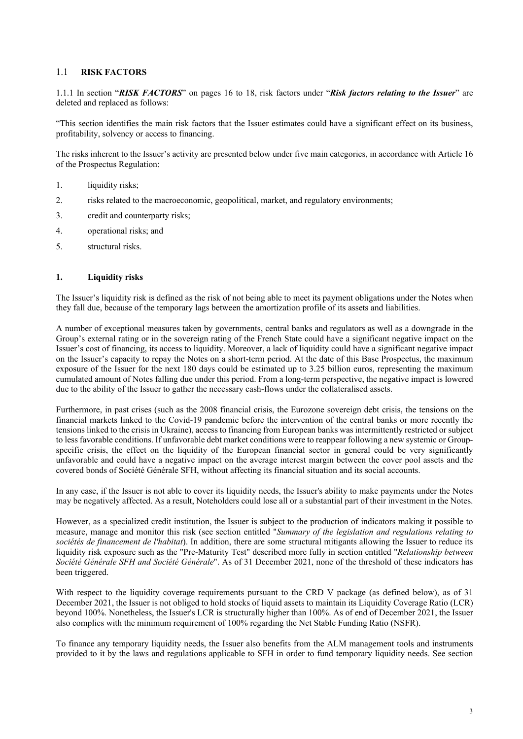## 1.1 **RISK FACTORS**

1.1.1 In section "*RISK FACTORS*" on pages 16 to 18, risk factors under "*Risk factors relating to the Issuer*" are deleted and replaced as follows:

"This section identifies the main risk factors that the Issuer estimates could have a significant effect on its business, profitability, solvency or access to financing.

The risks inherent to the Issuer's activity are presented below under five main categories, in accordance with Article 16 of the Prospectus Regulation:

- 1. liquidity risks;
- 2. risks related to the macroeconomic, geopolitical, market, and regulatory environments;
- 3. credit and counterparty risks;
- 4. operational risks; and
- 5. structural risks.

#### **1. Liquidity risks**

The Issuer's liquidity risk is defined as the risk of not being able to meet its payment obligations under the Notes when they fall due, because of the temporary lags between the amortization profile of its assets and liabilities.

A number of exceptional measures taken by governments, central banks and regulators as well as a downgrade in the Group's external rating or in the sovereign rating of the French State could have a significant negative impact on the Issuer's cost of financing, its access to liquidity. Moreover, a lack of liquidity could have a significant negative impact on the Issuer's capacity to repay the Notes on a short-term period. At the date of this Base Prospectus, the maximum exposure of the Issuer for the next 180 days could be estimated up to 3.25 billion euros, representing the maximum cumulated amount of Notes falling due under this period. From a long-term perspective, the negative impact is lowered due to the ability of the Issuer to gather the necessary cash-flows under the collateralised assets.

Furthermore, in past crises (such as the 2008 financial crisis, the Eurozone sovereign debt crisis, the tensions on the financial markets linked to the Covid-19 pandemic before the intervention of the central banks or more recently the tensions linked to the crisis in Ukraine), access to financing from European banks was intermittently restricted or subject to less favorable conditions. If unfavorable debt market conditions were to reappear following a new systemic or Groupspecific crisis, the effect on the liquidity of the European financial sector in general could be very significantly unfavorable and could have a negative impact on the average interest margin between the cover pool assets and the covered bonds of Société Générale SFH, without affecting its financial situation and its social accounts.

In any case, if the Issuer is not able to cover its liquidity needs, the Issuer's ability to make payments under the Notes may be negatively affected. As a result, Noteholders could lose all or a substantial part of their investment in the Notes.

However, as a specialized credit institution, the Issuer is subject to the production of indicators making it possible to measure, manage and monitor this risk (see section entitled "*Summary of the legislation and regulations relating to sociétés de financement de l'habitat*). In addition, there are some structural mitigants allowing the Issuer to reduce its liquidity risk exposure such as the "Pre-Maturity Test" described more fully in section entitled "*Relationship between Société Générale SFH and Société Générale*". As of 31 December 2021, none of the threshold of these indicators has been triggered.

With respect to the liquidity coverage requirements pursuant to the CRD V package (as defined below), as of 31 December 2021, the Issuer is not obliged to hold stocks of liquid assets to maintain its Liquidity Coverage Ratio (LCR) beyond 100%. Nonetheless, the Issuer's LCR is structurally higher than 100%. As of end of December 2021, the Issuer also complies with the minimum requirement of 100% regarding the Net Stable Funding Ratio (NSFR).

To finance any temporary liquidity needs, the Issuer also benefits from the ALM management tools and instruments provided to it by the laws and regulations applicable to SFH in order to fund temporary liquidity needs. See section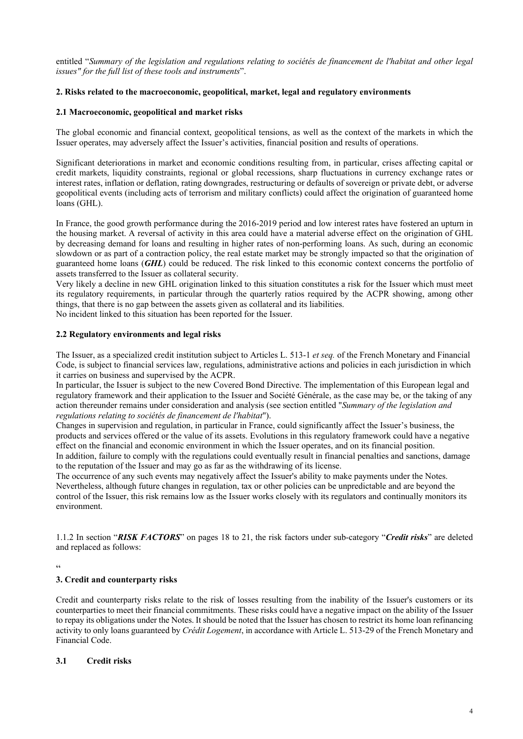entitled "*Summary of the legislation and regulations relating to sociétés de financement de l'habitat and other legal issues" for the full list of these tools and instruments*".

### **2. Risks related to the macroeconomic, geopolitical, market, legal and regulatory environments**

### **2.1 Macroeconomic, geopolitical and market risks**

The global economic and financial context, geopolitical tensions, as well as the context of the markets in which the Issuer operates, may adversely affect the Issuer's activities, financial position and results of operations.

Significant deteriorations in market and economic conditions resulting from, in particular, crises affecting capital or credit markets, liquidity constraints, regional or global recessions, sharp fluctuations in currency exchange rates or interest rates, inflation or deflation, rating downgrades, restructuring or defaults of sovereign or private debt, or adverse geopolitical events (including acts of terrorism and military conflicts) could affect the origination of guaranteed home loans (GHL).

In France, the good growth performance during the 2016-2019 period and low interest rates have fostered an upturn in the housing market. A reversal of activity in this area could have a material adverse effect on the origination of GHL by decreasing demand for loans and resulting in higher rates of non-performing loans. As such, during an economic slowdown or as part of a contraction policy, the real estate market may be strongly impacted so that the origination of guaranteed home loans (*GHL*) could be reduced. The risk linked to this economic context concerns the portfolio of assets transferred to the Issuer as collateral security.

Very likely a decline in new GHL origination linked to this situation constitutes a risk for the Issuer which must meet its regulatory requirements, in particular through the quarterly ratios required by the ACPR showing, among other things, that there is no gap between the assets given as collateral and its liabilities.

No incident linked to this situation has been reported for the Issuer.

#### **2.2 Regulatory environments and legal risks**

The Issuer, as a specialized credit institution subject to Articles L. 513-1 *et seq.* of the French Monetary and Financial Code, is subject to financial services law, regulations, administrative actions and policies in each jurisdiction in which it carries on business and supervised by the ACPR.

In particular, the Issuer is subject to the new Covered Bond Directive. The implementation of this European legal and regulatory framework and their application to the Issuer and Société Générale, as the case may be, or the taking of any action thereunder remains under consideration and analysis (see section entitled "*Summary of the legislation and regulations relating to sociétés de financement de l'habitat*").

Changes in supervision and regulation, in particular in France, could significantly affect the Issuer's business, the products and services offered or the value of its assets. Evolutions in this regulatory framework could have a negative effect on the financial and economic environment in which the Issuer operates, and on its financial position.

In addition, failure to comply with the regulations could eventually result in financial penalties and sanctions, damage to the reputation of the Issuer and may go as far as the withdrawing of its license.

The occurrence of any such events may negatively affect the Issuer's ability to make payments under the Notes. Nevertheless, although future changes in regulation, tax or other policies can be unpredictable and are beyond the control of the Issuer, this risk remains low as the Issuer works closely with its regulators and continually monitors its environment.

1.1.2 In section "*RISK FACTORS*" on pages 18 to 21, the risk factors under sub-category "*Credit risks*" are deleted and replaced as follows:

 $\epsilon$ 

### **3. Credit and counterparty risks**

Credit and counterparty risks relate to the risk of losses resulting from the inability of the Issuer's customers or its counterparties to meet their financial commitments. These risks could have a negative impact on the ability of the Issuer to repay its obligations under the Notes. It should be noted that the Issuer has chosen to restrict its home loan refinancing activity to only loans guaranteed by *Crédit Logement*, in accordance with Article L. 513-29 of the French Monetary and Financial Code.

## **3.1 Credit risks**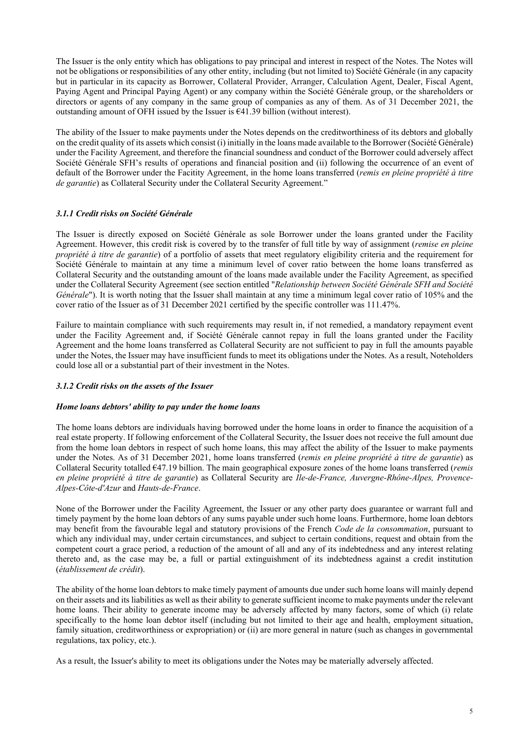The Issuer is the only entity which has obligations to pay principal and interest in respect of the Notes. The Notes will not be obligations or responsibilities of any other entity, including (but not limited to) Société Générale (in any capacity but in particular in its capacity as Borrower, Collateral Provider, Arranger, Calculation Agent, Dealer, Fiscal Agent, Paying Agent and Principal Paying Agent) or any company within the Société Générale group, or the shareholders or directors or agents of any company in the same group of companies as any of them. As of 31 December 2021, the outstanding amount of OFH issued by the Issuer is  $\epsilon$ 41.39 billion (without interest).

The ability of the Issuer to make payments under the Notes depends on the creditworthiness of its debtors and globally on the credit quality of its assets which consist (i) initially in the loans made available to the Borrower (Société Générale) under the Facility Agreement, and therefore the financial soundness and conduct of the Borrower could adversely affect Société Générale SFH's results of operations and financial position and (ii) following the occurrence of an event of default of the Borrower under the Facitity Agreement, in the home loans transferred (*remis en pleine propriété à titre de garantie*) as Collateral Security under the Collateral Security Agreement."

## *3.1.1 Credit risks on Société Générale*

The Issuer is directly exposed on Société Générale as sole Borrower under the loans granted under the Facility Agreement. However, this credit risk is covered by to the transfer of full title by way of assignment (*remise en pleine propriété à titre de garantie*) of a portfolio of assets that meet regulatory eligibility criteria and the requirement for Société Générale to maintain at any time a minimum level of cover ratio between the home loans transferred as Collateral Security and the outstanding amount of the loans made available under the Facility Agreement, as specified under the Collateral Security Agreement (see section entitled "*Relationship between Société Générale SFH and Société Générale*"). It is worth noting that the Issuer shall maintain at any time a minimum legal cover ratio of 105% and the cover ratio of the Issuer as of 31 December 2021 certified by the specific controller was 111.47%.

Failure to maintain compliance with such requirements may result in, if not remedied, a mandatory repayment event under the Facility Agreement and, if Société Générale cannot repay in full the loans granted under the Facility Agreement and the home loans transferred as Collateral Security are not sufficient to pay in full the amounts payable under the Notes, the Issuer may have insufficient funds to meet its obligations under the Notes. As a result, Noteholders could lose all or a substantial part of their investment in the Notes.

### *3.1.2 Credit risks on the assets of the Issuer*

### *Home loans debtors' ability to pay under the home loans*

The home loans debtors are individuals having borrowed under the home loans in order to finance the acquisition of a real estate property. If following enforcement of the Collateral Security, the Issuer does not receive the full amount due from the home loan debtors in respect of such home loans, this may affect the ability of the Issuer to make payments under the Notes. As of 31 December 2021, home loans transferred (*remis en pleine propriété à titre de garantie*) as Collateral Security totalled €47.19 billion. The main geographical exposure zones of the home loans transferred (*remis en pleine propriété à titre de garantie*) as Collateral Security are *Ile-de-France, Auvergne-Rhône-Alpes, Provence-Alpes-Côte-d'Azur* and *Hauts-de-France*.

None of the Borrower under the Facility Agreement, the Issuer or any other party does guarantee or warrant full and timely payment by the home loan debtors of any sums payable under such home loans. Furthermore, home loan debtors may benefit from the favourable legal and statutory provisions of the French *Code de la consommation*, pursuant to which any individual may, under certain circumstances, and subject to certain conditions, request and obtain from the competent court a grace period, a reduction of the amount of all and any of its indebtedness and any interest relating thereto and, as the case may be, a full or partial extinguishment of its indebtedness against a credit institution (*établissement de crédit*).

The ability of the home loan debtors to make timely payment of amounts due under such home loans will mainly depend on their assets and its liabilities as well as their ability to generate sufficient income to make payments under the relevant home loans. Their ability to generate income may be adversely affected by many factors, some of which (i) relate specifically to the home loan debtor itself (including but not limited to their age and health, employment situation, family situation, creditworthiness or expropriation) or (ii) are more general in nature (such as changes in governmental regulations, tax policy, etc.).

As a result, the Issuer's ability to meet its obligations under the Notes may be materially adversely affected.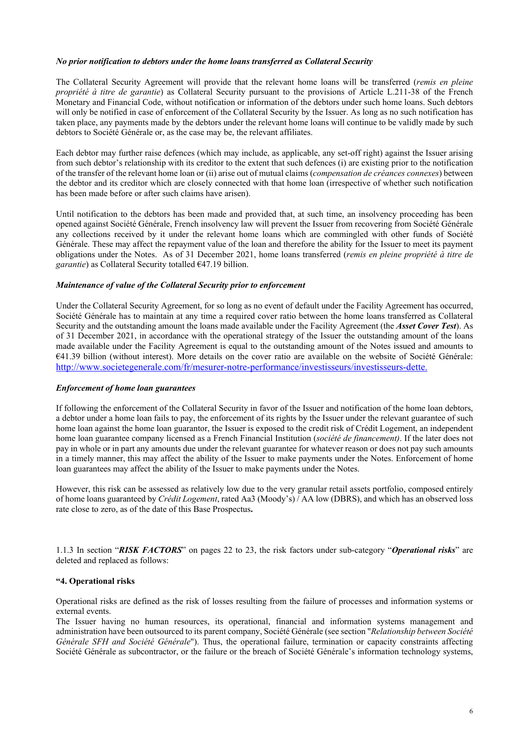#### *No prior notification to debtors under the home loans transferred as Collateral Security*

The Collateral Security Agreement will provide that the relevant home loans will be transferred (*remis en pleine propriété à titre de garantie*) as Collateral Security pursuant to the provisions of Article L.211-38 of the French Monetary and Financial Code, without notification or information of the debtors under such home loans. Such debtors will only be notified in case of enforcement of the Collateral Security by the Issuer. As long as no such notification has taken place, any payments made by the debtors under the relevant home loans will continue to be validly made by such debtors to Société Générale or, as the case may be, the relevant affiliates.

Each debtor may further raise defences (which may include, as applicable, any set-off right) against the Issuer arising from such debtor's relationship with its creditor to the extent that such defences (i) are existing prior to the notification of the transfer of the relevant home loan or (ii) arise out of mutual claims (*compensation de créances connexes*) between the debtor and its creditor which are closely connected with that home loan (irrespective of whether such notification has been made before or after such claims have arisen).

Until notification to the debtors has been made and provided that, at such time, an insolvency proceeding has been opened against Société Générale, French insolvency law will prevent the Issuer from recovering from Société Générale any collections received by it under the relevant home loans which are commingled with other funds of Société Générale. These may affect the repayment value of the loan and therefore the ability for the Issuer to meet its payment obligations under the Notes. As of 31 December 2021, home loans transferred (*remis en pleine propriété à titre de garantie*) as Collateral Security totalled €47.19 billion.

### *Maintenance of value of the Collateral Security prior to enforcement*

Under the Collateral Security Agreement, for so long as no event of default under the Facility Agreement has occurred, Société Générale has to maintain at any time a required cover ratio between the home loans transferred as Collateral Security and the outstanding amount the loans made available under the Facility Agreement (the *Asset Cover Test*). As of 31 December 2021, in accordance with the operational strategy of the Issuer the outstanding amount of the loans made available under the Facility Agreement is equal to the outstanding amount of the Notes issued and amounts to €41.39 billion (without interest). More details on the cover ratio are available on the website of Société Générale: [http://www.societegenerale.com/fr/mesurer-notre-performance/investisseurs/investisseurs-dette.](http://www.societegenerale.com/fr/mesurer-notre-performance/investisseurs/investisseurs-dette)

#### *Enforcement of home loan guarantees*

If following the enforcement of the Collateral Security in favor of the Issuer and notification of the home loan debtors, a debtor under a home loan fails to pay, the enforcement of its rights by the Issuer under the relevant guarantee of such home loan against the home loan guarantor, the Issuer is exposed to the credit risk of Crédit Logement, an independent home loan guarantee company licensed as a French Financial Institution (*société de financement)*. If the later does not pay in whole or in part any amounts due under the relevant guarantee for whatever reason or does not pay such amounts in a timely manner, this may affect the ability of the Issuer to make payments under the Notes. Enforcement of home loan guarantees may affect the ability of the Issuer to make payments under the Notes.

However, this risk can be assessed as relatively low due to the very granular retail assets portfolio, composed entirely of home loans guaranteed by *Crédit Logement*, rated Aa3 (Moody's) / AA low (DBRS), and which has an observed loss rate close to zero, as of the date of this Base Prospectus**.**

1.1.3 In section "*RISK FACTORS*" on pages 22 to 23, the risk factors under sub-category "*Operational risks*" are deleted and replaced as follows:

### **"4. Operational risks**

Operational risks are defined as the risk of losses resulting from the failure of processes and information systems or external events.

The Issuer having no human resources, its operational, financial and information systems management and administration have been outsourced to its parent company, Société Générale (see section "*Relationship between Société Générale SFH and Société Générale*"). Thus, the operational failure, termination or capacity constraints affecting Société Générale as subcontractor, or the failure or the breach of Société Générale's information technology systems,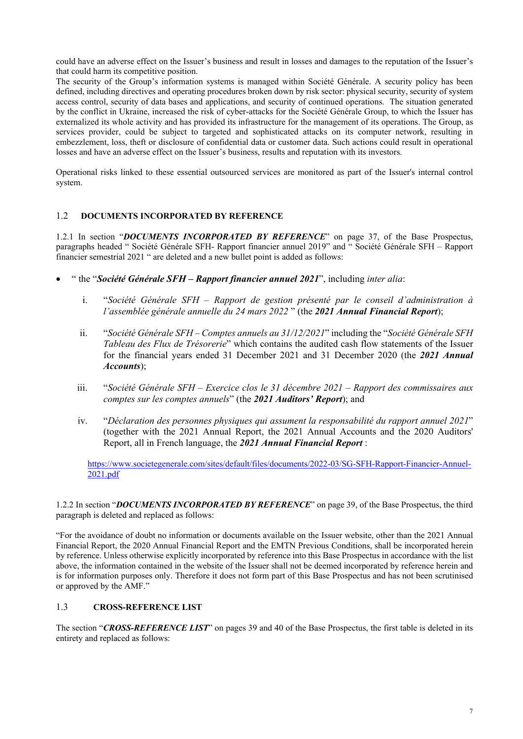could have an adverse effect on the Issuer's business and result in losses and damages to the reputation of the Issuer's that could harm its competitive position.

The security of the Group's information systems is managed within Société Générale. A security policy has been defined, including directives and operating procedures broken down by risk sector: physical security, security of system access control, security of data bases and applications, and security of continued operations. The situation generated by the conflict in Ukraine, increased the risk of cyber-attacks for the Société Générale Group, to which the Issuer has externalized its whole activity and has provided its infrastructure for the management of its operations. The Group, as services provider, could be subject to targeted and sophisticated attacks on its computer network, resulting in embezzlement, loss, theft or disclosure of confidential data or customer data. Such actions could result in operational losses and have an adverse effect on the Issuer's business, results and reputation with its investors.

Operational risks linked to these essential outsourced services are monitored as part of the Issuer's internal control system.

## 1.2 **DOCUMENTS INCORPORATED BY REFERENCE**

1.2.1 In section "*DOCUMENTS INCORPORATED BY REFERENCE*" on page 37, of the Base Prospectus, paragraphs headed " Société Générale SFH- Rapport financier annuel 2019" and " Société Générale SFH – Rapport financier semestrial 2021 " are deleted and a new bullet point is added as follows:

- " the "*Société Générale SFH – Rapport financier annuel 2021*", including *inter alia*:
	- i. "*Société Générale SFH – Rapport de gestion présenté par le conseil d'administration à l'assemblée générale annuelle du 24 mars 2022* " (the *2021 Annual Financial Report*);
	- ii. "*Société Générale SFH – Comptes annuels au 31/12/2021*" including the "*Société Générale SFH Tableau des Flux de Trésorerie*" which contains the audited cash flow statements of the Issuer for the financial years ended 31 December 2021 and 31 December 2020 (the *2021 Annual Accounts*);
	- iii. "*Société Générale SFH – Exercice clos le 31 décembre 2021 – Rapport des commissaires aux comptes sur les comptes annuels*" (the *2021 Auditors' Report*); and
	- iv. "*Déclaration des personnes physiques qui assument la responsabilité du rapport annuel 2021*" (together with the 2021 Annual Report, the 2021 Annual Accounts and the 2020 Auditors' Report, all in French language, the *2021 Annual Financial Report* :

[https://www.societegenerale.com/sites/default/files/documents/2022-03/SG-SFH-Rapport-Financier-Annuel-](https://www.societegenerale.com/sites/default/files/documents/2022-03/SG-SFH-Rapport-Financier-Annuel-2021.pdf)[2021.pdf](https://www.societegenerale.com/sites/default/files/documents/2022-03/SG-SFH-Rapport-Financier-Annuel-2021.pdf)

1.2.2 In section "*DOCUMENTS INCORPORATED BY REFERENCE*" on page 39, of the Base Prospectus, the third paragraph is deleted and replaced as follows:

"For the avoidance of doubt no information or documents available on the Issuer website, other than the 2021 Annual Financial Report, the 2020 Annual Financial Report and the EMTN Previous Conditions, shall be incorporated herein by reference. Unless otherwise explicitly incorporated by reference into this Base Prospectus in accordance with the list above, the information contained in the website of the Issuer shall not be deemed incorporated by reference herein and is for information purposes only. Therefore it does not form part of this Base Prospectus and has not been scrutinised or approved by the AMF."

### 1.3 **CROSS-REFERENCE LIST**

The section "*CROSS-REFERENCE LIST*" on pages 39 and 40 of the Base Prospectus, the first table is deleted in its entirety and replaced as follows: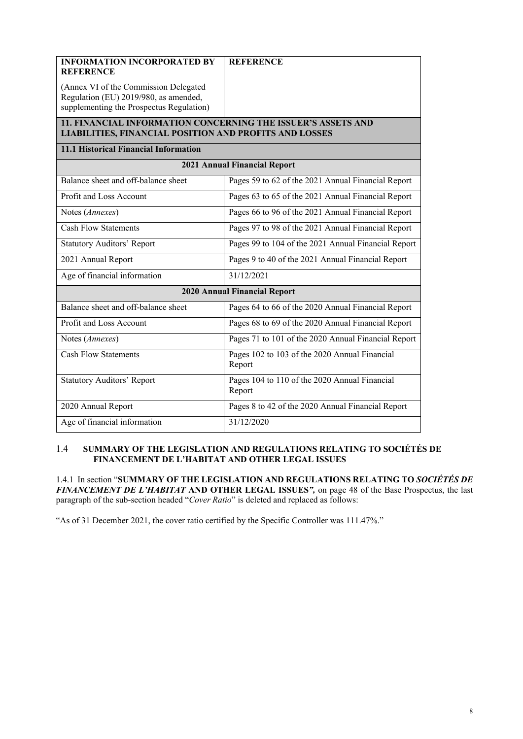| <b>INFORMATION INCORPORATED BY</b>                                                                                     | <b>REFERENCE</b>                                        |  |  |  |  |  |  |
|------------------------------------------------------------------------------------------------------------------------|---------------------------------------------------------|--|--|--|--|--|--|
| <b>REFERENCE</b>                                                                                                       |                                                         |  |  |  |  |  |  |
| (Annex VI of the Commission Delegated                                                                                  |                                                         |  |  |  |  |  |  |
| Regulation (EU) 2019/980, as amended,<br>supplementing the Prospectus Regulation)                                      |                                                         |  |  |  |  |  |  |
|                                                                                                                        |                                                         |  |  |  |  |  |  |
| 11. FINANCIAL INFORMATION CONCERNING THE ISSUER'S ASSETS AND<br>LIABILITIES, FINANCIAL POSITION AND PROFITS AND LOSSES |                                                         |  |  |  |  |  |  |
| 11.1 Historical Financial Information                                                                                  |                                                         |  |  |  |  |  |  |
| <b>2021 Annual Financial Report</b>                                                                                    |                                                         |  |  |  |  |  |  |
| Balance sheet and off-balance sheet                                                                                    | Pages 59 to 62 of the 2021 Annual Financial Report      |  |  |  |  |  |  |
| Profit and Loss Account                                                                                                | Pages 63 to 65 of the 2021 Annual Financial Report      |  |  |  |  |  |  |
| Notes (Annexes)                                                                                                        | Pages 66 to 96 of the 2021 Annual Financial Report      |  |  |  |  |  |  |
| <b>Cash Flow Statements</b>                                                                                            | Pages 97 to 98 of the 2021 Annual Financial Report      |  |  |  |  |  |  |
| <b>Statutory Auditors' Report</b>                                                                                      | Pages 99 to 104 of the 2021 Annual Financial Report     |  |  |  |  |  |  |
| 2021 Annual Report                                                                                                     | Pages 9 to 40 of the 2021 Annual Financial Report       |  |  |  |  |  |  |
| Age of financial information                                                                                           | 31/12/2021                                              |  |  |  |  |  |  |
| <b>2020 Annual Financial Report</b>                                                                                    |                                                         |  |  |  |  |  |  |
| Balance sheet and off-balance sheet                                                                                    | Pages 64 to 66 of the 2020 Annual Financial Report      |  |  |  |  |  |  |
| Profit and Loss Account                                                                                                | Pages 68 to 69 of the 2020 Annual Financial Report      |  |  |  |  |  |  |
| Notes (Annexes)                                                                                                        | Pages 71 to 101 of the 2020 Annual Financial Report     |  |  |  |  |  |  |
| <b>Cash Flow Statements</b>                                                                                            | Pages 102 to 103 of the 2020 Annual Financial<br>Report |  |  |  |  |  |  |
| <b>Statutory Auditors' Report</b>                                                                                      | Pages 104 to 110 of the 2020 Annual Financial<br>Report |  |  |  |  |  |  |
| 2020 Annual Report                                                                                                     | Pages 8 to 42 of the 2020 Annual Financial Report       |  |  |  |  |  |  |
| Age of financial information                                                                                           | 31/12/2020                                              |  |  |  |  |  |  |

## 1.4 **SUMMARY OF THE LEGISLATION AND REGULATIONS RELATING TO SOCIÉTÉS DE FINANCEMENT DE L'HABITAT AND OTHER LEGAL ISSUES**

1.4.1 In section "**SUMMARY OF THE LEGISLATION AND REGULATIONS RELATING TO** *SOCIÉTÉS DE FINANCEMENT DE L'HABITAT* **AND OTHER LEGAL ISSUES***",* on page 48 of the Base Prospectus, the last paragraph of the sub-section headed "*Cover Ratio*" is deleted and replaced as follows:

"As of 31 December 2021, the cover ratio certified by the Specific Controller was 111.47%."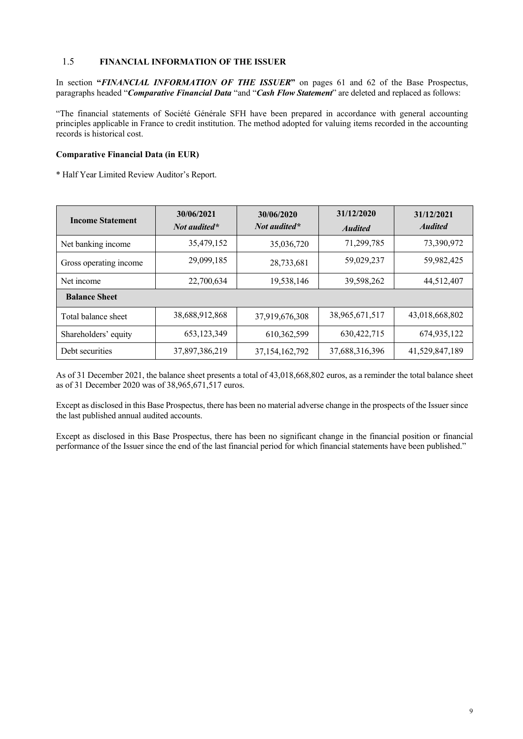## 1.5 **FINANCIAL INFORMATION OF THE ISSUER**

In section "*FINANCIAL INFORMATION OF THE ISSUER*" on pages 61 and 62 of the Base Prospectus, paragraphs headed "*Comparative Financial Data* "and "*Cash Flow Statement*" are deleted and replaced as follows:

"The financial statements of Société Générale SFH have been prepared in accordance with general accounting principles applicable in France to credit institution. The method adopted for valuing items recorded in the accounting records is historical cost.

## **Comparative Financial Data (in EUR)**

\* Half Year Limited Review Auditor's Report.

| <b>Income Statement</b> | 30/06/2021<br>Not audited* | 30/06/2020<br>Not audited* | 31/12/2020<br><b>Audited</b> | 31/12/2021<br><b>Audited</b> |  |  |  |
|-------------------------|----------------------------|----------------------------|------------------------------|------------------------------|--|--|--|
| Net banking income      | 35,479,152                 | 35,036,720                 | 71,299,785                   | 73,390,972                   |  |  |  |
| Gross operating income  | 29,099,185                 | 28,733,681                 | 59,029,237                   | 59,982,425                   |  |  |  |
| Net income              | 22,700,634                 | 19,538,146                 | 39,598,262                   | 44,512,407                   |  |  |  |
| <b>Balance Sheet</b>    |                            |                            |                              |                              |  |  |  |
| Total balance sheet     | 38,688,912,868             | 37,919,676,308             | 38,965,671,517               | 43,018,668,802               |  |  |  |
| Shareholders' equity    | 653,123,349                | 610, 362, 599              | 630, 422, 715                | 674,935,122                  |  |  |  |
| Debt securities         | 37,897,386,219             | 37, 154, 162, 792          | 37,688,316,396               | 41,529,847,189               |  |  |  |

As of 31 December 2021, the balance sheet presents a total of 43,018,668,802 euros, as a reminder the total balance sheet as of 31 December 2020 was of 38,965,671,517 euros.

Except as disclosed in this Base Prospectus, there has been no material adverse change in the prospects of the Issuer since the last published annual audited accounts.

Except as disclosed in this Base Prospectus, there has been no significant change in the financial position or financial performance of the Issuer since the end of the last financial period for which financial statements have been published."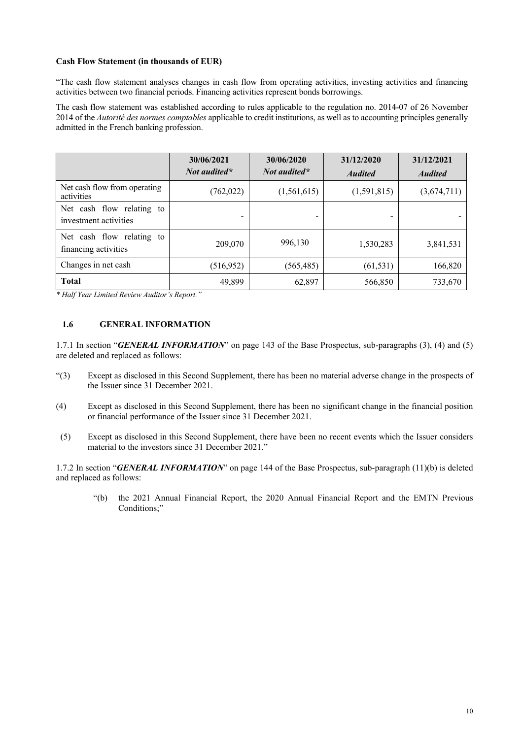#### **Cash Flow Statement (in thousands of EUR)**

"The cash flow statement analyses changes in cash flow from operating activities, investing activities and financing activities between two financial periods. Financing activities represent bonds borrowings.

The cash flow statement was established according to rules applicable to the regulation no. 2014-07 of 26 November 2014 of the *Autorité des normes comptables* applicable to credit institutions, as well as to accounting principles generally admitted in the French banking profession.

|                                                    | 30/06/2021<br><i>Not audited</i> * | 30/06/2020<br>Not audited* | 31/12/2020<br><b>Audited</b> | 31/12/2021<br><b>Audited</b> |
|----------------------------------------------------|------------------------------------|----------------------------|------------------------------|------------------------------|
| Net cash flow from operating<br>activities         | (762,022)                          | (1,561,615)                | (1,591,815)                  | (3,674,711)                  |
| Net cash flow relating to<br>investment activities |                                    | -                          |                              |                              |
| Net cash flow relating to<br>financing activities  | 209,070                            | 996,130                    | 1,530,283                    | 3,841,531                    |
| Changes in net cash                                | (516, 952)                         | (565, 485)                 | (61, 531)                    | 166,820                      |
| <b>Total</b>                                       | 49,899                             | 62,897                     | 566,850                      | 733,670                      |

*\* Half Year Limited Review Auditor's Report."*

## **1.6 GENERAL INFORMATION**

1.7.1 In section "*GENERAL INFORMATION*" on page 143 of the Base Prospectus, sub-paragraphs (3), (4) and (5) are deleted and replaced as follows:

- "(3) Except as disclosed in this Second Supplement, there has been no material adverse change in the prospects of the Issuer since 31 December 2021.
- (4) Except as disclosed in this Second Supplement, there has been no significant change in the financial position or financial performance of the Issuer since 31 December 2021.
- (5) Except as disclosed in this Second Supplement, there have been no recent events which the Issuer considers material to the investors since 31 December 2021."

1.7.2 In section "*GENERAL INFORMATION*" on page 144 of the Base Prospectus, sub-paragraph (11)(b) is deleted and replaced as follows:

"(b) the 2021 Annual Financial Report, the 2020 Annual Financial Report and the EMTN Previous Conditions;"